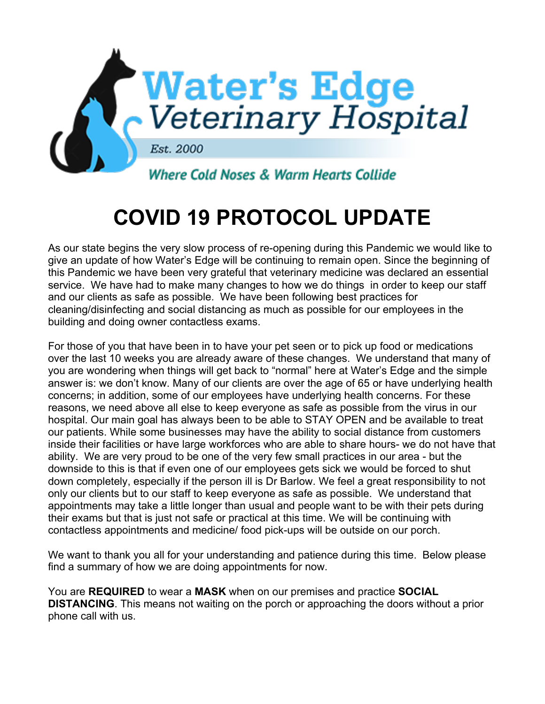

## **COVID 19 PROTOCOL UPDATE**

As our state begins the very slow process of re-opening during this Pandemic we would like to give an update of how Water's Edge will be continuing to remain open. Since the beginning of this Pandemic we have been very grateful that veterinary medicine was declared an essential service. We have had to make many changes to how we do things in order to keep our staff and our clients as safe as possible. We have been following best practices for cleaning/disinfecting and social distancing as much as possible for our employees in the building and doing owner contactless exams.

For those of you that have been in to have your pet seen or to pick up food or medications over the last 10 weeks you are already aware of these changes. We understand that many of you are wondering when things will get back to "normal" here at Water's Edge and the simple answer is: we don't know. Many of our clients are over the age of 65 or have underlying health concerns; in addition, some of our employees have underlying health concerns. For these reasons, we need above all else to keep everyone as safe as possible from the virus in our hospital. Our main goal has always been to be able to STAY OPEN and be available to treat our patients. While some businesses may have the ability to social distance from customers inside their facilities or have large workforces who are able to share hours- we do not have that ability. We are very proud to be one of the very few small practices in our area - but the downside to this is that if even one of our employees gets sick we would be forced to shut down completely, especially if the person ill is Dr Barlow. We feel a great responsibility to not only our clients but to our staff to keep everyone as safe as possible. We understand that appointments may take a little longer than usual and people want to be with their pets during their exams but that is just not safe or practical at this time. We will be continuing with contactless appointments and medicine/ food pick-ups will be outside on our porch.

We want to thank you all for your understanding and patience during this time. Below please find a summary of how we are doing appointments for now.

You are **REQUIRED** to wear a **MASK** when on our premises and practice **SOCIAL DISTANCING**. This means not waiting on the porch or approaching the doors without a prior phone call with us.